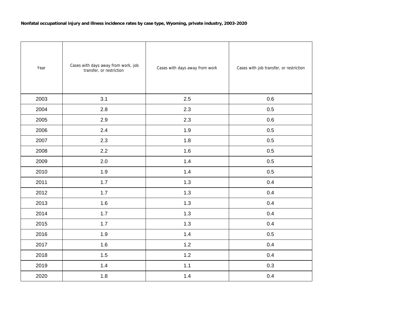| Year | Cases with days away from work, job<br>transfer, or restriction | Cases with days away from work | Cases with job transfer, or restriction |
|------|-----------------------------------------------------------------|--------------------------------|-----------------------------------------|
| 2003 | 3.1                                                             | 2.5                            | 0.6                                     |
| 2004 | 2.8                                                             | 2.3                            | 0.5                                     |
| 2005 | 2.9                                                             | 2.3                            | 0.6                                     |
| 2006 | 2.4                                                             | 1.9                            | 0.5                                     |
| 2007 | 2.3                                                             | 1.8                            | 0.5                                     |
| 2008 | 2.2                                                             | 1.6                            | 0.5                                     |
| 2009 | 2.0                                                             | 1.4                            | 0.5                                     |
| 2010 | 1.9                                                             | 1.4                            | 0.5                                     |
| 2011 | 1.7                                                             | 1.3                            | 0.4                                     |
| 2012 | 1.7                                                             | 1.3                            | 0.4                                     |
| 2013 | 1.6                                                             | 1.3                            | 0.4                                     |
| 2014 | 1.7                                                             | 1.3                            | 0.4                                     |
| 2015 | 1.7                                                             | 1.3                            | 0.4                                     |
| 2016 | 1.9                                                             | 1.4                            | 0.5                                     |
| 2017 | 1.6                                                             | 1.2                            | 0.4                                     |
| 2018 | 1.5                                                             | 1.2                            | 0.4                                     |
| 2019 | 1.4                                                             | 1.1                            | 0.3                                     |
| 2020 | 1.8                                                             | 1.4                            | 0.4                                     |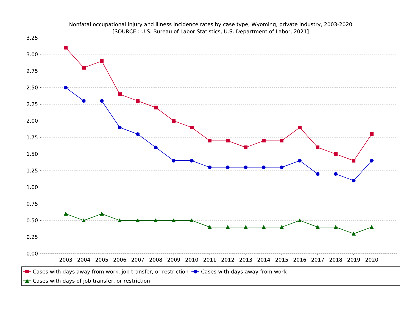

Nonfatal occupational injury and illness incidence rates by case type, Wyoming, private industry, 2003-2020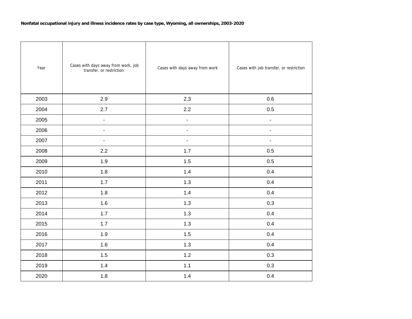| Year | Cases with days away from work, job<br>transfer, or restriction | Cases with days away from work | Cases with job transfer, or restriction |
|------|-----------------------------------------------------------------|--------------------------------|-----------------------------------------|
| 2003 | 2.9                                                             | 2.3                            | 0.6                                     |
| 2004 | 2.7                                                             | 2.2                            | 0.5                                     |
| 2005 | $\blacksquare$                                                  | ÷,                             | $\overline{\phantom{a}}$                |
| 2006 | ÷,                                                              | $\overline{\phantom{a}}$       | ÷,                                      |
| 2007 | $\overline{\phantom{a}}$                                        | $\overline{\phantom{a}}$       | $\blacksquare$                          |
| 2008 | 2.2                                                             | 1.7                            | 0.5                                     |
| 2009 | 1.9                                                             | 1.5                            | 0.5                                     |
| 2010 | 1.8                                                             | 1.4                            | 0.4                                     |
| 2011 | 1.7                                                             | 1.3                            | 0.4                                     |
| 2012 | 1.8                                                             | 1.4                            | 0.4                                     |
| 2013 | 1.6                                                             | 1.3                            | 0.3                                     |
| 2014 | 1.7                                                             | 1.3                            | 0.4                                     |
| 2015 | 1.7                                                             | 1.3                            | 0.4                                     |
| 2016 | 1.9                                                             | 1.5                            | 0.4                                     |
| 2017 | 1.6                                                             | 1.3                            | 0.4                                     |
| 2018 | 1.5                                                             | 1.2                            | 0.3                                     |
| 2019 | 1.4                                                             | 1.1                            | 0.3                                     |
| 2020 | 1.8                                                             | 1.4                            | 0.4                                     |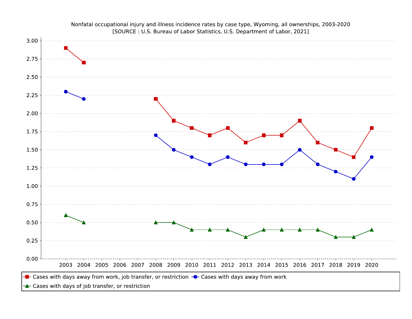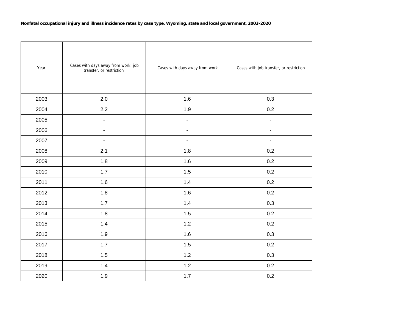| Year | Cases with days away from work, job<br>transfer, or restriction | Cases with days away from work | Cases with job transfer, or restriction |
|------|-----------------------------------------------------------------|--------------------------------|-----------------------------------------|
| 2003 | 2.0                                                             | 1.6                            | 0.3                                     |
| 2004 | 2.2                                                             | 1.9                            | 0.2                                     |
| 2005 | $\blacksquare$                                                  | $\blacksquare$                 | $\blacksquare$                          |
| 2006 | $\overline{\phantom{a}}$                                        | $\blacksquare$                 | $\overline{\phantom{a}}$                |
| 2007 | $\blacksquare$                                                  | ÷,                             | $\blacksquare$                          |
| 2008 | 2.1                                                             | 1.8                            | 0.2                                     |
| 2009 | 1.8                                                             | 1.6                            | 0.2                                     |
| 2010 | 1.7                                                             | 1.5                            | 0.2                                     |
| 2011 | 1.6                                                             | 1.4                            | 0.2                                     |
| 2012 | 1.8                                                             | 1.6                            | 0.2                                     |
| 2013 | 1.7                                                             | 1.4                            | 0.3                                     |
| 2014 | 1.8                                                             | 1.5                            | 0.2                                     |
| 2015 | 1.4                                                             | 1.2                            | 0.2                                     |
| 2016 | 1.9                                                             | 1.6                            | 0.3                                     |
| 2017 | 1.7                                                             | 1.5                            | 0.2                                     |
| 2018 | 1.5                                                             | 1.2                            | 0.3                                     |
| 2019 | 1.4                                                             | 1.2                            | 0.2                                     |
| 2020 | 1.9                                                             | 1.7                            | 0.2                                     |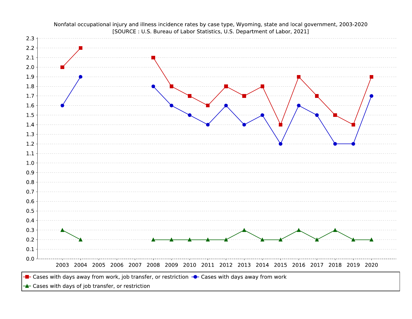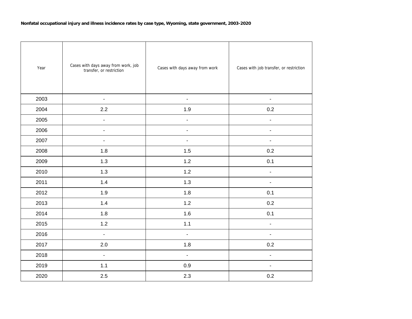| Year | Cases with days away from work, job<br>transfer, or restriction | Cases with days away from work | Cases with job transfer, or restriction |
|------|-----------------------------------------------------------------|--------------------------------|-----------------------------------------|
| 2003 | $\blacksquare$                                                  | $\blacksquare$                 | $\blacksquare$                          |
| 2004 | 2.2                                                             | 1.9                            | 0.2                                     |
| 2005 | $\blacksquare$                                                  | ÷,                             | $\overline{\phantom{0}}$                |
| 2006 | $\blacksquare$                                                  | $\blacksquare$                 | $\overline{\phantom{0}}$                |
| 2007 | $\overline{a}$                                                  | $\mathbf{r}$                   | $\blacksquare$                          |
| 2008 | 1.8                                                             | 1.5                            | 0.2                                     |
| 2009 | 1.3                                                             | $1.2$                          | 0.1                                     |
| 2010 | 1.3                                                             | 1.2                            | $\blacksquare$                          |
| 2011 | 1.4                                                             | 1.3                            | $\blacksquare$                          |
| 2012 | 1.9                                                             | 1.8                            | 0.1                                     |
| 2013 | 1.4                                                             | 1.2                            | 0.2                                     |
| 2014 | 1.8                                                             | 1.6                            | 0.1                                     |
| 2015 | $1.2$                                                           | 1.1                            | $\overline{\phantom{a}}$                |
| 2016 | $\blacksquare$                                                  | $\overline{\phantom{a}}$       | $\blacksquare$                          |
| 2017 | 2.0                                                             | 1.8                            | 0.2                                     |
| 2018 | $\blacksquare$                                                  | $\blacksquare$                 | $\blacksquare$                          |
| 2019 | 1.1                                                             | 0.9                            | $\overline{\phantom{0}}$                |
| 2020 | 2.5                                                             | 2.3                            | 0.2                                     |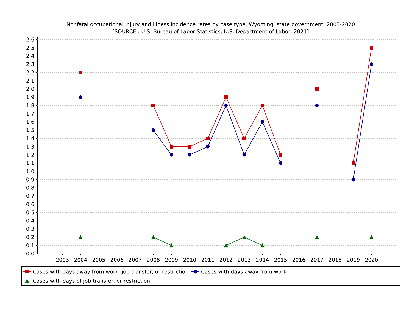

Nonfatal occupational injury and illness incidence rates by case type, Wyoming, state government, 2003-2020 [SOURCE : U.S. Bureau of Labor Statistics, U.S. Department of Labor, 2021]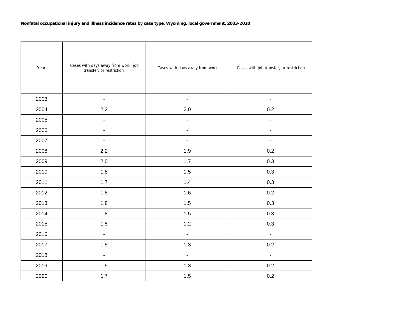| Year | Cases with days away from work, job<br>transfer, or restriction | Cases with days away from work | Cases with job transfer, or restriction |
|------|-----------------------------------------------------------------|--------------------------------|-----------------------------------------|
| 2003 | $\blacksquare$                                                  | $\blacksquare$                 | $\blacksquare$                          |
| 2004 | 2.2                                                             | 2.0                            | 0.2                                     |
| 2005 | $\blacksquare$                                                  | ä,                             | $\overline{\phantom{a}}$                |
| 2006 | $\blacksquare$                                                  | $\blacksquare$                 | $\overline{\phantom{0}}$                |
| 2007 | ÷,                                                              | L,                             | L,                                      |
| 2008 | 2.2                                                             | 1.9                            | 0.2                                     |
| 2009 | 2.0                                                             | 1.7                            | 0.3                                     |
| 2010 | 1.8                                                             | 1.5                            | 0.3                                     |
| 2011 | 1.7                                                             | 1.4                            | 0.3                                     |
| 2012 | 1.8                                                             | 1.6                            | 0.2                                     |
| 2013 | 1.8                                                             | 1.5                            | 0.3                                     |
| 2014 | 1.8                                                             | 1.5                            | 0.3                                     |
| 2015 | 1.5                                                             | $1.2$                          | 0.3                                     |
| 2016 | $\omega$                                                        | $\omega$                       | $\mathbf{r}$                            |
| 2017 | 1.5                                                             | 1.3                            | 0.2                                     |
| 2018 | $\blacksquare$                                                  | $\blacksquare$                 | $\blacksquare$                          |
| 2019 | 1.5                                                             | 1.3                            | 0.2                                     |
| 2020 | $1.7$                                                           | 1.5                            | 0.2                                     |